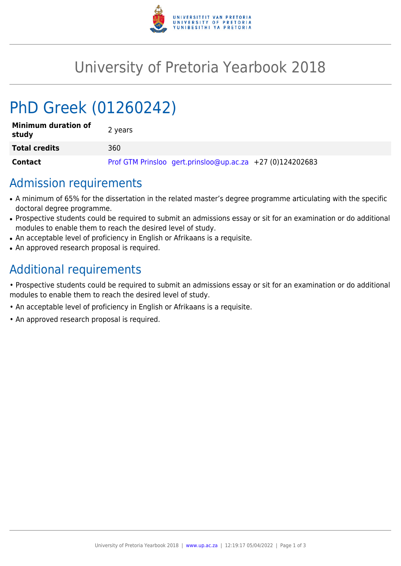

## University of Pretoria Yearbook 2018

# PhD Greek (01260242)

| <b>Minimum duration of</b><br>study | 2 years                                                   |
|-------------------------------------|-----------------------------------------------------------|
| <b>Total credits</b>                | 360                                                       |
| Contact                             | Prof GTM Prinsloo gert.prinsloo@up.ac.za +27 (0)124202683 |

#### Admission requirements

- A minimum of 65% for the dissertation in the related master's degree programme articulating with the specific doctoral degree programme.
- Prospective students could be required to submit an admissions essay or sit for an examination or do additional modules to enable them to reach the desired level of study.
- An acceptable level of proficiency in English or Afrikaans is a requisite.
- An approved research proposal is required.

## Additional requirements

• Prospective students could be required to submit an admissions essay or sit for an examination or do additional modules to enable them to reach the desired level of study.

- An acceptable level of proficiency in English or Afrikaans is a requisite.
- An approved research proposal is required.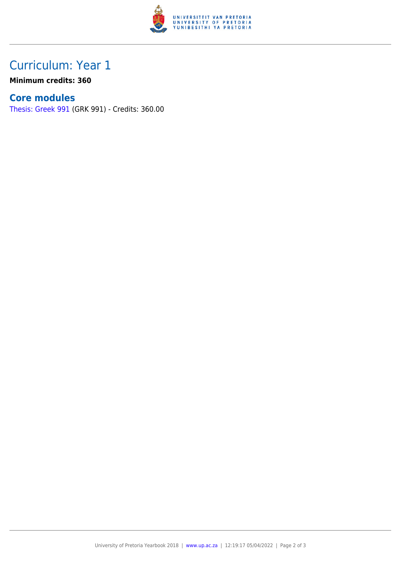

### Curriculum: Year 1

**Minimum credits: 360**

#### **Core modules**

[Thesis: Greek 991](https://www.up.ac.za/mechanical-and-aeronautical-engineering/yearbooks/2018/modules/view/GRK 991) (GRK 991) - Credits: 360.00